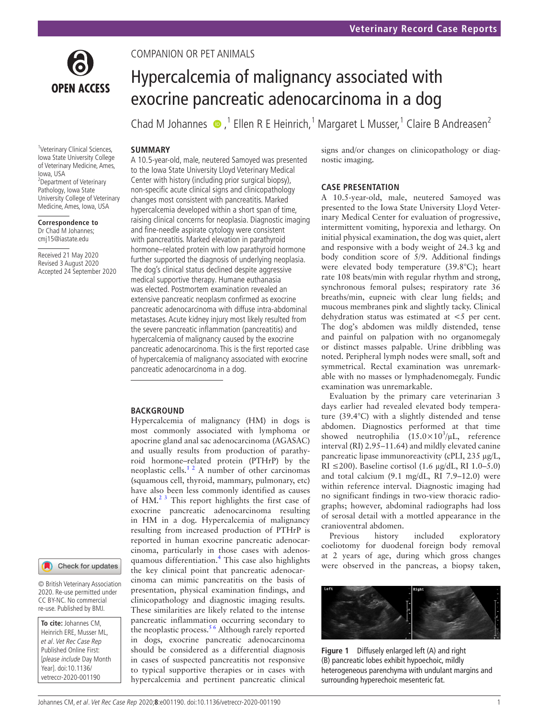

COMPANION OR PET ANIMALS

# Hypercalcemia of malignancy associated with exocrine pancreatic adenocarcinoma in a dog

Chad M Johannes  $\bullet$ ,<sup>1</sup> Ellen R E Heinrich,<sup>1</sup> Margaret L Musser,<sup>1</sup> Claire B Andreasen<sup>2</sup>

## **SUMMARY**

<sup>1</sup>Veterinary Clinical Sciences, Iowa State University College of Veterinary Medicine, Ames, Iowa, USA <sup>2</sup>Department of Veterinary Pathology, Iowa State University College of Veterinary Medicine, Ames, Iowa, USA

**Correspondence to** Dr Chad M Johannes; cmj15@iastate.edu

Received 21 May 2020 Revised 3 August 2020 Accepted 24 September 2020

Check for updates

© British Veterinary Association 2020. Re-use permitted under CC BY-NC. No commercial re-use. Published by BMJ.

**To cite:** Johannes CM, Heinrich ERE, Musser ML, et al. Vet Rec Case Rep Published Online First: [please include Day Month Year]. doi:10.1136/ vetreccr-2020-001190

A 10.5- year- old, male, neutered Samoyed was presented to the Iowa State University Lloyd Veterinary Medical Center with history (including prior surgical biopsy), non-specific acute clinical signs and clinicopathology changes most consistent with pancreatitis. Marked hypercalcemia developed within a short span of time, raising clinical concerns for neoplasia. Diagnostic imaging and fine-needle aspirate cytology were consistent with pancreatitis. Marked elevation in parathyroid hormone–related protein with low parathyroid hormone further supported the diagnosis of underlying neoplasia. The dog's clinical status declined despite aggressive medical supportive therapy. Humane euthanasia was elected. Postmortem examination revealed an extensive pancreatic neoplasm confirmed as exocrine pancreatic adenocarcinoma with diffuse intra- abdominal metastases. Acute kidney injury most likely resulted from the severe pancreatic inflammation (pancreatitis) and hypercalcemia of malignancy caused by the exocrine pancreatic adenocarcinoma. This is the first reported case of hypercalcemia of malignancy associated with exocrine pancreatic adenocarcinoma in a dog.

## **BACKGROUND**

Hypercalcemia of malignancy (HM) in dogs is most commonly associated with lymphoma or apocrine gland anal sac adenocarcinoma (AGASAC) and usually results from production of parathyroid hormone–related protein (PTHrP) by the neoplastic cells.<sup>[1 2](#page-3-0)</sup> A number of other carcinomas (squamous cell, thyroid, mammary, pulmonary, etc) have also been less commonly identified as causes of  $HM<sup>2</sup>$ <sup>3</sup>. This report highlights the first case of exocrine pancreatic adenocarcinoma resulting in HM in a dog. Hypercalcemia of malignancy resulting from increased production of PTHrP is reported in human exocrine pancreatic adenocarcinoma, particularly in those cases with adenos-quamous differentiation.<sup>[4](#page-3-2)</sup> This case also highlights the key clinical point that pancreatic adenocarcinoma can mimic pancreatitis on the basis of presentation, physical examination findings, and clinicopathology and diagnostic imaging results. These similarities are likely related to the intense pancreatic inflammation occurring secondary to the neoplastic process.<sup>56</sup> Although rarely reported in dogs, exocrine pancreatic adenocarcinoma should be considered as a differential diagnosis in cases of suspected pancreatitis not responsive to typical supportive therapies or in cases with hypercalcemia and pertinent pancreatic clinical

signs and/or changes on clinicopathology or diagnostic imaging.

## **CASE PRESENTATION**

A 10.5-year-old, male, neutered Samoyed was presented to the Iowa State University Lloyd Veterinary Medical Center for evaluation of progressive, intermittent vomiting, hyporexia and lethargy. On initial physical examination, the dog was quiet, alert and responsive with a body weight of 24.3 kg and body condition score of 5/9. Additional findings were elevated body temperature (39.8°C); heart rate 108 beats/min with regular rhythm and strong, synchronous femoral pulses; respiratory rate 36 breaths/min, eupneic with clear lung fields; and mucous membranes pink and slightly tacky. Clinical dehydration status was estimated at <5 per cent. The dog's abdomen was mildly distended, tense and painful on palpation with no organomegaly or distinct masses palpable. Urine dribbling was noted. Peripheral lymph nodes were small, soft and symmetrical. Rectal examination was unremarkable with no masses or lymphadenomegaly. Fundic examination was unremarkable.

Evaluation by the primary care veterinarian 3 days earlier had revealed elevated body temperature (39.4°C) with a slightly distended and tense abdomen. Diagnostics performed at that time showed neutrophilia  $(15.0 \times 10^3/\mu L,$  reference interval (RI) 2.95–11.64) and mildly elevated canine pancreatic lipase immunoreactivity (cPLI, 235 µg/L, RI ≤200). Baseline cortisol (1.6  $\mu$ g/dL, RI 1.0–5.0) and total calcium (9.1 mg/dL, RI 7.9–12.0) were within reference interval. Diagnostic imaging had no significant findings in two- view thoracic radiographs; however, abdominal radiographs had loss of serosal detail with a mottled appearance in the cranioventral abdomen.

Previous history included exploratory coeliotomy for duodenal foreign body removal at 2 years of age, during which gross changes were observed in the pancreas, a biopsy taken,



<span id="page-0-0"></span>**Figure 1** Diffusely enlarged left (A) and right (B) pancreatic lobes exhibit hypoechoic, mildly heterogeneous parenchyma with undulant margins and surrounding hyperechoic mesenteric fat.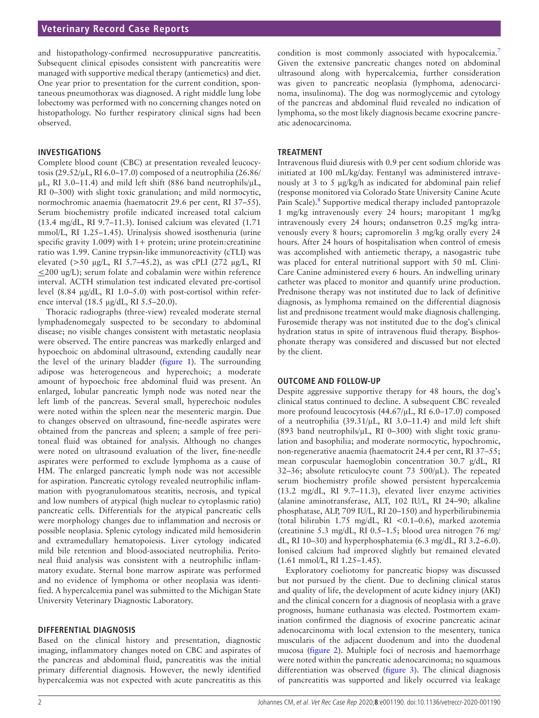## **Veterinary Record Case Reports**

and histopathology- confirmed necrosuppurative pancreatitis. Subsequent clinical episodes consistent with pancreatitis were managed with supportive medical therapy (antiemetics) and diet. One year prior to presentation for the current condition, spontaneous pneumothorax was diagnosed. A right middle lung lobe lobectomy was performed with no concerning changes noted on histopathology. No further respiratory clinical signs had been observed.

#### **INVESTIGATIONS**

Complete blood count (CBC) at presentation revealed leucocytosis (29.52/µL, RI 6.0–17.0) composed of a neutrophilia (26.86/ µL, RI 3.0–11.4) and mild left shift (886 band neutrophils/µL, RI 0–300) with slight toxic granulation; and mild normocytic, normochromic anaemia (haematocrit 29.6 per cent, RI 37–55). Serum biochemistry profile indicated increased total calcium (13.4 mg/dL, RI 9.7–11.3). Ionised calcium was elevated (1.71 mmol/L, RI 1.25–1.45). Urinalysis showed isosthenuria (urine specific gravity  $1.009$ ) with  $1+$  protein; urine protein: creatinine ratio was 1.99. Canine trypsin-like immunoreactivity (cTLI) was elevated (>50 µg/L, RI 5.7–45.2), as was cPLI (272 µg/L, RI  $\leq$ 200 ug/L); serum folate and cobalamin were within reference interval. ACTH stimulation test indicated elevated pre-cortisol level  $(8.84 \mu g/dL, RI 1.0–5.0)$  with post-cortisol within reference interval (18.5 µg/dL, RI 5.5–20.0).

Thoracic radiographs (three-view) revealed moderate sternal lymphadenomegaly suspected to be secondary to abdominal disease; no visible changes consistent with metastatic neoplasia were observed. The entire pancreas was markedly enlarged and hypoechoic on abdominal ultrasound, extending caudally near the level of the urinary bladder [\(figure 1\)](#page-0-0). The surrounding adipose was heterogeneous and hyperechoic; a moderate amount of hypoechoic free abdominal fluid was present. An enlarged, lobular pancreatic lymph node was noted near the left limb of the pancreas. Several small, hyperechoic nodules were noted within the spleen near the mesenteric margin. Due to changes observed on ultrasound, fine- needle aspirates were obtained from the pancreas and spleen; a sample of free peritoneal fluid was obtained for analysis. Although no changes were noted on ultrasound evaluation of the liver, fine- needle aspirates were performed to exclude lymphoma as a cause of HM. The enlarged pancreatic lymph node was not accessible for aspiration. Pancreatic cytology revealed neutrophilic inflammation with pyogranulomatous steatitis, necrosis, and typical and low numbers of atypical (high nuclear to cytoplasmic ratio) pancreatic cells. Differentials for the atypical pancreatic cells were morphology changes due to inflammation and necrosis or possible neoplasia. Splenic cytology indicated mild hemosiderin and extramedullary hematopoiesis. Liver cytology indicated mild bile retention and blood-associated neutrophilia. Peritoneal fluid analysis was consistent with a neutrophilic inflammatory exudate. Sternal bone marrow aspirate was performed and no evidence of lymphoma or other neoplasia was identified. A hypercalcemia panel was submitted to the Michigan State University Veterinary Diagnostic Laboratory.

### **DIFFERENTIAL DIAGNOSIS**

Based on the clinical history and presentation, diagnostic imaging, inflammatory changes noted on CBC and aspirates of the pancreas and abdominal fluid, pancreatitis was the initial primary differential diagnosis. However, the newly identified hypercalcemia was not expected with acute pancreatitis as this

condition is most commonly associated with hypocalcemia.<sup>[7](#page-3-4)</sup> Given the extensive pancreatic changes noted on abdominal ultrasound along with hypercalcemia, further consideration was given to pancreatic neoplasia (lymphoma, adenocarcinoma, insulinoma). The dog was normoglycemic and cytology of the pancreas and abdominal fluid revealed no indication of lymphoma, so the most likely diagnosis became exocrine pancreatic adenocarcinoma.

#### **TREATMENT**

Intravenous fluid diuresis with 0.9 per cent sodium chloride was initiated at 100 mL/kg/day. Fentanyl was administered intravenously at 3 to 5 µg/kg/h as indicated for abdominal pain relief (response monitored via Colorado State University Canine Acute Pain Scale).<sup>[8](#page-3-5)</sup> Supportive medical therapy included pantoprazole 1 mg/kg intravenously every 24 hours; maropitant 1 mg/kg intravenously every 24 hours; ondansetron 0.25 mg/kg intravenously every 8 hours; capromorelin 3 mg/kg orally every 24 hours. After 24 hours of hospitalisation when control of emesis was accomplished with antiemetic therapy, a nasogastric tube was placed for enteral nutritional support with 50 mL Clini-Care Canine administered every 6 hours. An indwelling urinary catheter was placed to monitor and quantify urine production. Prednisone therapy was not instituted due to lack of definitive diagnosis, as lymphoma remained on the differential diagnosis list and prednisone treatment would make diagnosis challenging. Furosemide therapy was not instituted due to the dog's clinical hydration status in spite of intravenous fluid therapy. Bisphosphonate therapy was considered and discussed but not elected by the client.

#### **OUTCOME AND FOLLOW-UP**

Despite aggressive supportive therapy for 48 hours, the dog's clinical status continued to decline. A subsequent CBC revealed more profound leucocytosis (44.67/µL, RI 6.0–17.0) composed of a neutrophilia  $(39.31/\mu L, RI 3.0–11.4)$  and mild left shift (893 band neutrophils/µL, RI 0–300) with slight toxic granulation and basophilia; and moderate normocytic, hypochromic, non-regenerative anaemia (haematocrit 24.4 per cent, RI 37–55; mean corpuscular haemoglobin concentration 30.7 g/dL, RI 32–36; absolute reticulocyte count 73  $500/\mu$ L). The repeated serum biochemistry profile showed persistent hypercalcemia (13.2 mg/dL, RI 9.7–11.3), elevated liver enzyme activities (alanine aminotransferase, ALT, 102 IU/L, RI 24–90; alkaline phosphatase, ALP, 709 IU/L, RI 20–150) and hyperbilirubinemia (total bilirubin 1.75 mg/dL, RI <0.1–0.6), marked azotemia (creatinine 5.3 mg/dL, RI 0.5–1.5; blood urea nitrogen 76 mg/ dL, RI 10–30) and hyperphosphatemia (6.3 mg/dL, RI 3.2–6.0). Ionised calcium had improved slightly but remained elevated (1.61 mmol/L, RI 1.25–1.45).

Exploratory coeliotomy for pancreatic biopsy was discussed but not pursued by the client. Due to declining clinical status and quality of life, the development of acute kidney injury (AKI) and the clinical concern for a diagnosis of neoplasia with a grave prognosis, humane euthanasia was elected. Postmortem examination confirmed the diagnosis of exocrine pancreatic acinar adenocarcinoma with local extension to the mesentery, tunica muscularis of the adjacent duodenum and into the duodenal mucosa [\(figure 2\)](#page-2-0). Multiple foci of necrosis and haemorrhage were noted within the pancreatic adenocarcinoma; no squamous differentiation was observed [\(figure 3\)](#page-2-1). The clinical diagnosis of pancreatitis was supported and likely occurred via leakage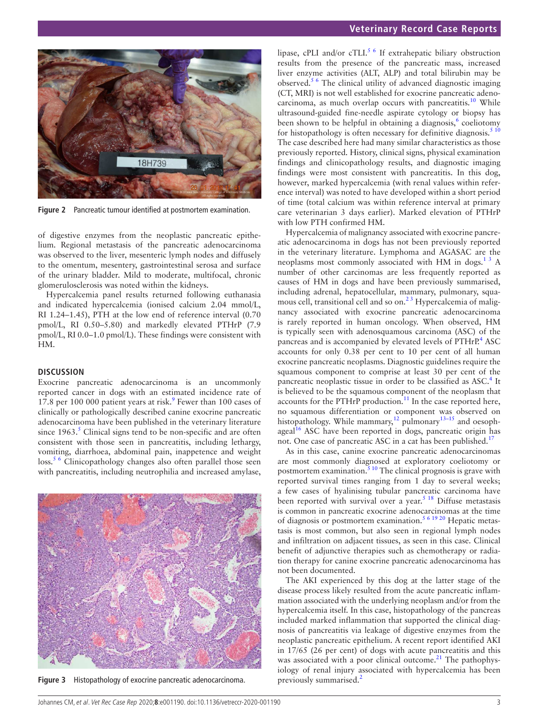

**Figure 2** Pancreatic tumour identified at postmortem examination.

<span id="page-2-0"></span>of digestive enzymes from the neoplastic pancreatic epithelium. Regional metastasis of the pancreatic adenocarcinoma was observed to the liver, mesenteric lymph nodes and diffusely to the omentum, mesentery, gastrointestinal serosa and surface of the urinary bladder. Mild to moderate, multifocal, chronic glomerulosclerosis was noted within the kidneys.

Hypercalcemia panel results returned following euthanasia and indicated hypercalcemia (ionised calcium 2.04 mmol/L, RI 1.24–1.45), PTH at the low end of reference interval (0.70 pmol/L, RI 0.50–5.80) and markedly elevated PTHrP (7.9 pmol/L, RI 0.0–1.0 pmol/L). These findings were consistent with HM.

#### **DISCUSSION**

Exocrine pancreatic adenocarcinoma is an uncommonly reported cancer in dogs with an estimated incidence rate of 17.8 per 100 000 patient years at risk.<sup>[9](#page-3-6)</sup> Fewer than 100 cases of clinically or pathologically described canine exocrine pancreatic adenocarcinoma have been published in the veterinary literature since  $1963$ .<sup>[5](#page-3-3)</sup> Clinical signs tend to be non-specific and are often consistent with those seen in pancreatitis, including lethargy, vomiting, diarrhoea, abdominal pain, inappetence and weight loss.<sup>[5 6](#page-3-3)</sup> Clinicopathology changes also often parallel those seen with pancreatitis, including neutrophilia and increased amylase,

<span id="page-2-1"></span>

**Figure 3** Histopathology of exocrine pancreatic adenocarcinoma.

lipase, cPLI and/or cTLI.<sup>[5 6](#page-3-3)</sup> If extrahepatic biliary obstruction results from the presence of the pancreatic mass, increased liver enzyme activities (ALT, ALP) and total bilirubin may be observed.[5 6](#page-3-3) The clinical utility of advanced diagnostic imaging (CT, MRI) is not well established for exocrine pancreatic adeno-carcinoma, as much overlap occurs with pancreatitis.<sup>[10](#page-3-7)</sup> While ultrasound-guided fine-needle aspirate cytology or biopsy has been shown to be helpful in obtaining a diagnosis,<sup>[6](#page-3-8)</sup> coeliotomy for histopathology is often necessary for definitive diagnosis.<sup>[5 10](#page-3-3)</sup> The case described here had many similar characteristics as those previously reported. History, clinical signs, physical examination findings and clinicopathology results, and diagnostic imaging findings were most consistent with pancreatitis. In this dog, however, marked hypercalcemia (with renal values within reference interval) was noted to have developed within a short period of time (total calcium was within reference interval at primary care veterinarian 3 days earlier). Marked elevation of PTHrP with low PTH confirmed HM.

Hypercalcemia of malignancy associated with exocrine pancreatic adenocarcinoma in dogs has not been previously reported in the veterinary literature. Lymphoma and AGASAC are the neoplasms most commonly associated with HM in dogs.<sup>13</sup> A number of other carcinomas are less frequently reported as causes of HM in dogs and have been previously summarised, including adrenal, hepatocellular, mammary, pulmonary, squamous cell, transitional cell and so on.<sup>23</sup> Hypercalcemia of malignancy associated with exocrine pancreatic adenocarcinoma is rarely reported in human oncology. When observed, HM is typically seen with adenosquamous carcinoma (ASC) of the pancreas and is accompanied by elevated levels of PTHrP.<sup>[4](#page-3-2)</sup> ASC accounts for only 0.38 per cent to 10 per cent of all human exocrine pancreatic neoplasms. Diagnostic guidelines require the squamous component to comprise at least 30 per cent of the pancreatic neoplastic tissue in order to be classified as ASC.<sup>[4](#page-3-2)</sup> It is believed to be the squamous component of the neoplasm that accounts for the PTHrP production. $11$  In the case reported here, no squamous differentiation or component was observed on histopathology. While mammary, $12$  pulmonary $13-15$  and oesoph-ageal<sup>[16](#page-3-12)</sup> ASC have been reported in dogs, pancreatic origin has not. One case of pancreatic ASC in a cat has been published.<sup>[17](#page-3-13)</sup>

As in this case, canine exocrine pancreatic adenocarcinomas are most commonly diagnosed at exploratory coeliotomy or postmortem examination. $5^{10}$  The clinical prognosis is grave with reported survival times ranging from 1 day to several weeks; a few cases of hyalinising tubular pancreatic carcinoma have been reported with survival over a year.<sup>[5 18](#page-3-3)</sup> Diffuse metastasis is common in pancreatic exocrine adenocarcinomas at the time of diagnosis or postmortem examination.<sup>[5 6 19 20](#page-3-3)</sup> Hepatic metastasis is most common, but also seen in regional lymph nodes and infiltration on adjacent tissues, as seen in this case. Clinical benefit of adjunctive therapies such as chemotherapy or radiation therapy for canine exocrine pancreatic adenocarcinoma has not been documented.

The AKI experienced by this dog at the latter stage of the disease process likely resulted from the acute pancreatic inflammation associated with the underlying neoplasm and/or from the hypercalcemia itself. In this case, histopathology of the pancreas included marked inflammation that supported the clinical diagnosis of pancreatitis via leakage of digestive enzymes from the neoplastic pancreatic epithelium. A recent report identified AKI in 17/65 (26 per cent) of dogs with acute pancreatitis and this was associated with a poor clinical outcome.<sup>[21](#page-3-14)</sup> The pathophysiology of renal injury associated with hypercalcemia has been previously summarised.[2](#page-3-1)